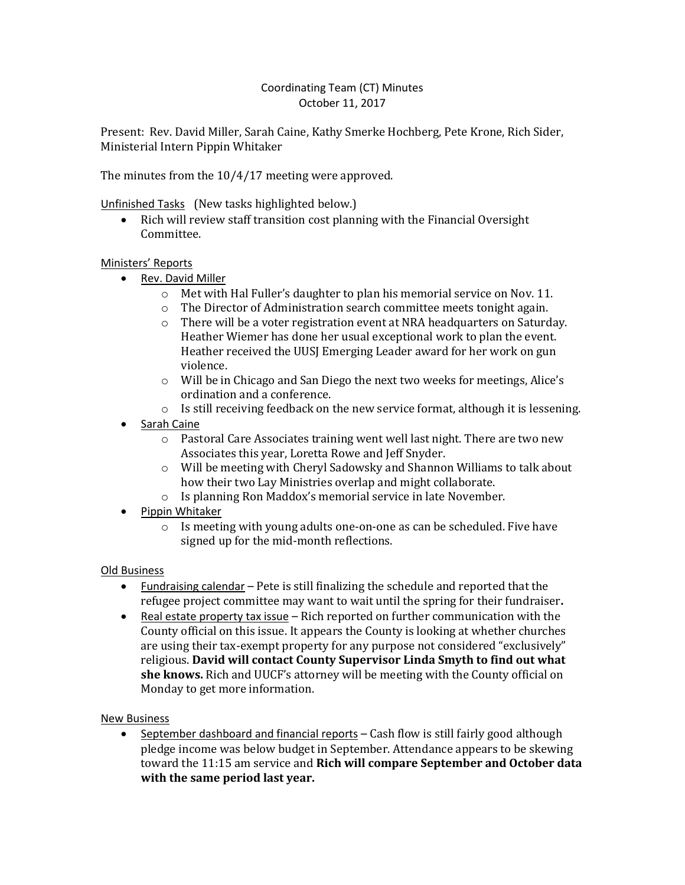## Coordinating Team (CT) Minutes October 11, 2017

Present: Rev. David Miller, Sarah Caine, Kathy Smerke Hochberg, Pete Krone, Rich Sider, Ministerial Intern Pippin Whitaker

The minutes from the 10/4/17 meeting were approved.

Unfinished Tasks (New tasks highlighted below.)

• Rich will review staff transition cost planning with the Financial Oversight Committee.

## Ministers' Reports

- Rev. David Miller
	- $\circ$  Met with Hal Fuller's daughter to plan his memorial service on Nov. 11.
	- o The Director of Administration search committee meets tonight again.
	- o There will be a voter registration event at NRA headquarters on Saturday. Heather Wiemer has done her usual exceptional work to plan the event. Heather received the UUSJ Emerging Leader award for her work on gun violence.
	- o Will be in Chicago and San Diego the next two weeks for meetings, Alice's ordination and a conference.
	- $\circ$  Is still receiving feedback on the new service format, although it is lessening.
- Sarah Caine
	- o Pastoral Care Associates training went well last night. There are two new Associates this year, Loretta Rowe and Jeff Snyder.
	- o Will be meeting with Cheryl Sadowsky and Shannon Williams to talk about how their two Lay Ministries overlap and might collaborate.
	- o Is planning Ron Maddox's memorial service in late November.
- Pippin Whitaker
	- $\circ$  Is meeting with young adults one-on-one as can be scheduled. Five have signed up for the mid-month reflections.

## Old Business

- Fundraising calendar Pete is still finalizing the schedule and reported that the refugee project committee may want to wait until the spring for their fundraiser**.**
- Real estate property tax issue  $-$  Rich reported on further communication with the County official on this issue. It appears the County is looking at whether churches are using their tax-exempt property for any purpose not considered "exclusively" religious. **David will contact County Supervisor Linda Smyth to find out what she knows.** Rich and UUCF's attorney will be meeting with the County official on Monday to get more information.

New Business

 September dashboard and financial reports – Cash flow is still fairly good although pledge income was below budget in September. Attendance appears to be skewing toward the 11:15 am service and **Rich will compare September and October data with the same period last year.**